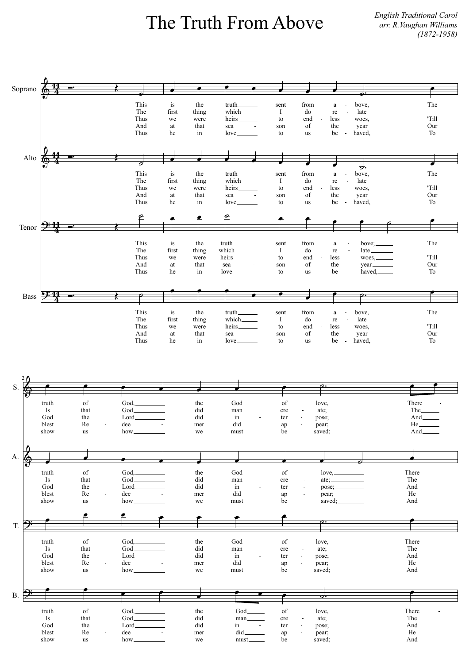## The Truth From Above